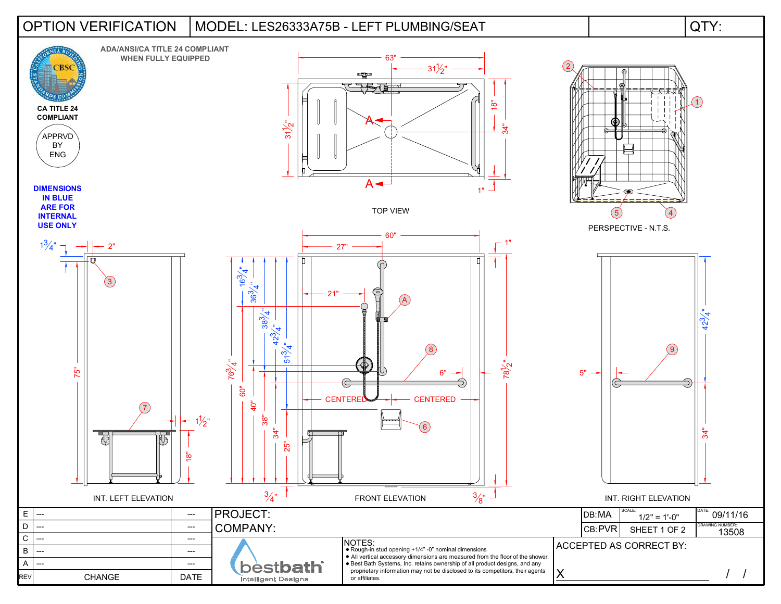## OPTION VERIFICATION | MODEL: LES26333A75B - LEFT PLUMBING/SEAT | QTY: